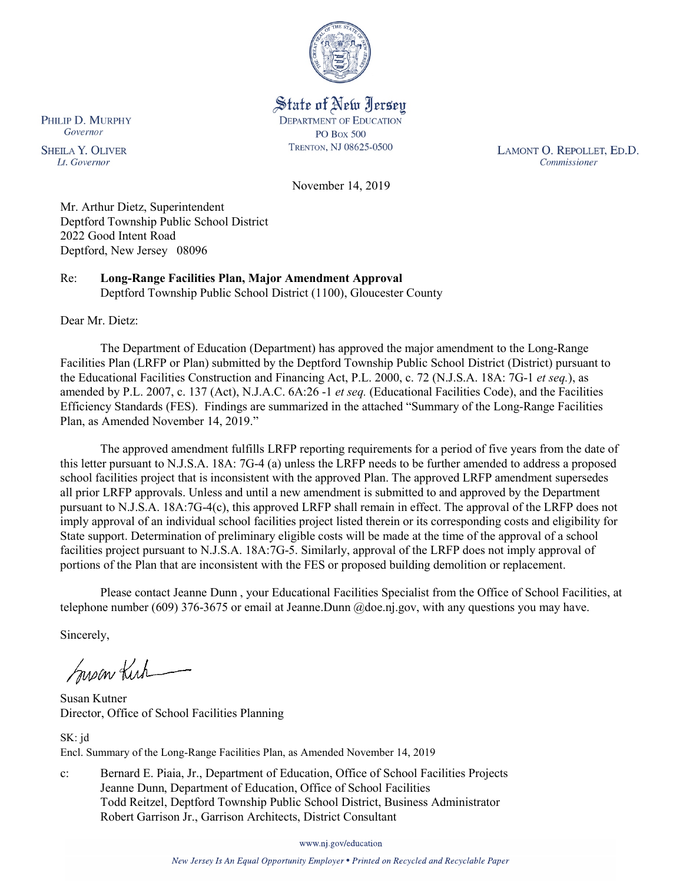

State of New Jersey **DEPARTMENT OF EDUCATION PO Box 500** TRENTON, NJ 08625-0500

LAMONT O. REPOLLET, ED.D. Commissioner

November 14, 2019

Mr. Arthur Dietz, Superintendent Deptford Township Public School District 2022 Good Intent Road Deptford, New Jersey 08096

Re: **Long-Range Facilities Plan, Major Amendment Approval** Deptford Township Public School District (1100), Gloucester County

Dear Mr. Dietz:

The Department of Education (Department) has approved the major amendment to the Long-Range Facilities Plan (LRFP or Plan) submitted by the Deptford Township Public School District (District) pursuant to the Educational Facilities Construction and Financing Act, P.L. 2000, c. 72 (N.J.S.A. 18A: 7G-1 *et seq.*), as amended by P.L. 2007, c. 137 (Act), N.J.A.C. 6A:26 -1 *et seq.* (Educational Facilities Code), and the Facilities Efficiency Standards (FES). Findings are summarized in the attached "Summary of the Long-Range Facilities Plan, as Amended November 14, 2019."

The approved amendment fulfills LRFP reporting requirements for a period of five years from the date of this letter pursuant to N.J.S.A. 18A: 7G-4 (a) unless the LRFP needs to be further amended to address a proposed school facilities project that is inconsistent with the approved Plan. The approved LRFP amendment supersedes all prior LRFP approvals. Unless and until a new amendment is submitted to and approved by the Department pursuant to N.J.S.A. 18A:7G-4(c), this approved LRFP shall remain in effect. The approval of the LRFP does not imply approval of an individual school facilities project listed therein or its corresponding costs and eligibility for State support. Determination of preliminary eligible costs will be made at the time of the approval of a school facilities project pursuant to N.J.S.A. 18A:7G-5. Similarly, approval of the LRFP does not imply approval of portions of the Plan that are inconsistent with the FES or proposed building demolition or replacement.

Please contact Jeanne Dunn , your Educational Facilities Specialist from the Office of School Facilities, at telephone number (609) 376-3675 or email at Jeanne.Dunn @doe.nj.gov, with any questions you may have.

Sincerely,

Susan Kich

Susan Kutner Director, Office of School Facilities Planning

SK: jd Encl. Summary of the Long-Range Facilities Plan, as Amended November 14, 2019

c: Bernard E. Piaia, Jr., Department of Education, Office of School Facilities Projects Jeanne Dunn, Department of Education, Office of School Facilities Todd Reitzel, Deptford Township Public School District, Business Administrator Robert Garrison Jr., Garrison Architects, District Consultant

www.nj.gov/education

New Jersey Is An Equal Opportunity Employer . Printed on Recycled and Recyclable Paper

PHILIP D. MURPHY Governor

**SHEILA Y. OLIVER** Lt. Governor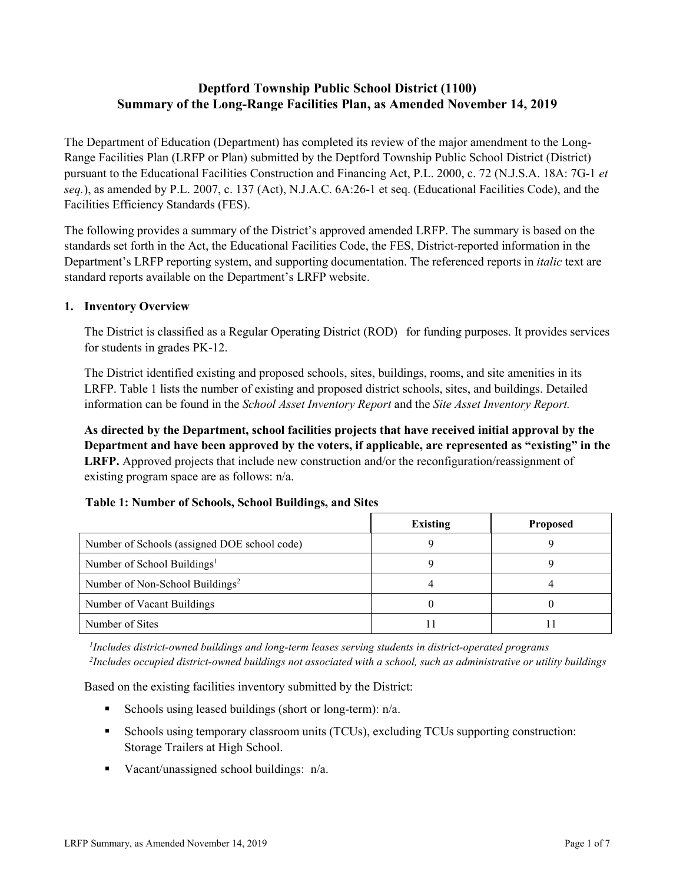# **Deptford Township Public School District (1100) Summary of the Long-Range Facilities Plan, as Amended November 14, 2019**

The Department of Education (Department) has completed its review of the major amendment to the Long-Range Facilities Plan (LRFP or Plan) submitted by the Deptford Township Public School District (District) pursuant to the Educational Facilities Construction and Financing Act, P.L. 2000, c. 72 (N.J.S.A. 18A: 7G-1 *et seq.*), as amended by P.L. 2007, c. 137 (Act), N.J.A.C. 6A:26-1 et seq. (Educational Facilities Code), and the Facilities Efficiency Standards (FES).

The following provides a summary of the District's approved amended LRFP. The summary is based on the standards set forth in the Act, the Educational Facilities Code, the FES, District-reported information in the Department's LRFP reporting system, and supporting documentation. The referenced reports in *italic* text are standard reports available on the Department's LRFP website.

#### **1. Inventory Overview**

The District is classified as a Regular Operating District (ROD) for funding purposes. It provides services for students in grades PK-12.

The District identified existing and proposed schools, sites, buildings, rooms, and site amenities in its LRFP. Table 1 lists the number of existing and proposed district schools, sites, and buildings. Detailed information can be found in the *School Asset Inventory Report* and the *Site Asset Inventory Report.*

**As directed by the Department, school facilities projects that have received initial approval by the Department and have been approved by the voters, if applicable, are represented as "existing" in the LRFP.** Approved projects that include new construction and/or the reconfiguration/reassignment of existing program space are as follows: n/a.

|  |  | Table 1: Number of Schools, School Buildings, and Sites |  |
|--|--|---------------------------------------------------------|--|
|--|--|---------------------------------------------------------|--|

|                                              | <b>Existing</b> | <b>Proposed</b> |
|----------------------------------------------|-----------------|-----------------|
| Number of Schools (assigned DOE school code) |                 |                 |
| Number of School Buildings <sup>1</sup>      |                 |                 |
| Number of Non-School Buildings <sup>2</sup>  |                 |                 |
| Number of Vacant Buildings                   |                 |                 |
| Number of Sites                              |                 |                 |

*1 Includes district-owned buildings and long-term leases serving students in district-operated programs 2 Includes occupied district-owned buildings not associated with a school, such as administrative or utility buildings*

Based on the existing facilities inventory submitted by the District:

- Schools using leased buildings (short or long-term):  $n/a$ .
- Schools using temporary classroom units (TCUs), excluding TCUs supporting construction: Storage Trailers at High School.
- Vacant/unassigned school buildings:  $n/a$ .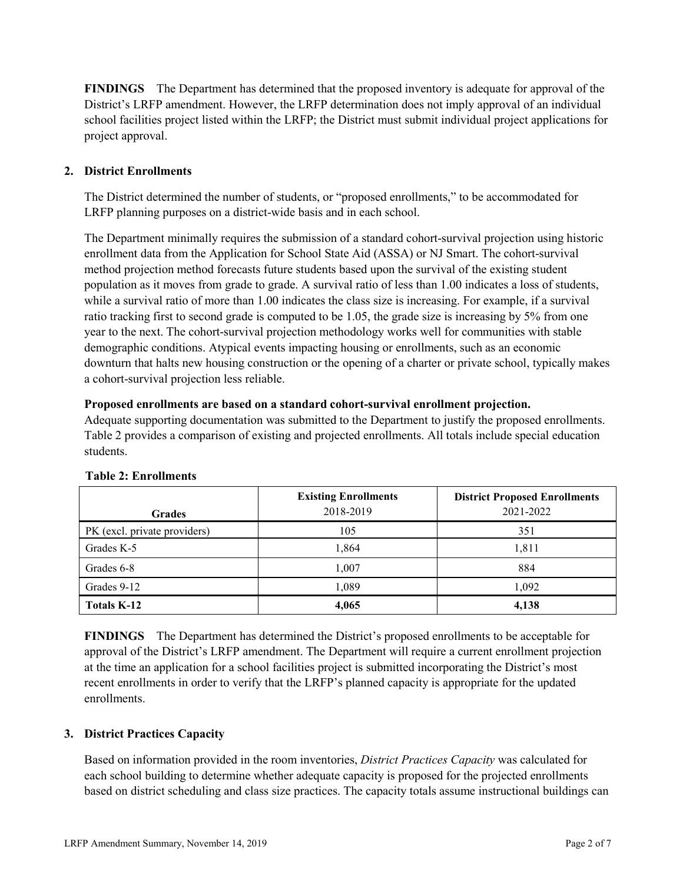**FINDINGS** The Department has determined that the proposed inventory is adequate for approval of the District's LRFP amendment. However, the LRFP determination does not imply approval of an individual school facilities project listed within the LRFP; the District must submit individual project applications for project approval.

## **2. District Enrollments**

The District determined the number of students, or "proposed enrollments," to be accommodated for LRFP planning purposes on a district-wide basis and in each school.

The Department minimally requires the submission of a standard cohort-survival projection using historic enrollment data from the Application for School State Aid (ASSA) or NJ Smart. The cohort-survival method projection method forecasts future students based upon the survival of the existing student population as it moves from grade to grade. A survival ratio of less than 1.00 indicates a loss of students, while a survival ratio of more than 1.00 indicates the class size is increasing. For example, if a survival ratio tracking first to second grade is computed to be 1.05, the grade size is increasing by 5% from one year to the next. The cohort-survival projection methodology works well for communities with stable demographic conditions. Atypical events impacting housing or enrollments, such as an economic downturn that halts new housing construction or the opening of a charter or private school, typically makes a cohort-survival projection less reliable.

#### **Proposed enrollments are based on a standard cohort-survival enrollment projection.**

Adequate supporting documentation was submitted to the Department to justify the proposed enrollments. Table 2 provides a comparison of existing and projected enrollments. All totals include special education students.

| <b>Grades</b>                | <b>Existing Enrollments</b><br>2018-2019 | <b>District Proposed Enrollments</b><br>2021-2022 |
|------------------------------|------------------------------------------|---------------------------------------------------|
| PK (excl. private providers) | 105                                      | 351                                               |
| Grades K-5                   | 1,864                                    | 1,811                                             |
| Grades 6-8                   | 1,007                                    | 884                                               |
| Grades 9-12                  | 1,089                                    | 1,092                                             |
| <b>Totals K-12</b>           | 4,065                                    | 4,138                                             |

## **Table 2: Enrollments**

**FINDINGS** The Department has determined the District's proposed enrollments to be acceptable for approval of the District's LRFP amendment. The Department will require a current enrollment projection at the time an application for a school facilities project is submitted incorporating the District's most recent enrollments in order to verify that the LRFP's planned capacity is appropriate for the updated enrollments.

## **3. District Practices Capacity**

Based on information provided in the room inventories, *District Practices Capacity* was calculated for each school building to determine whether adequate capacity is proposed for the projected enrollments based on district scheduling and class size practices. The capacity totals assume instructional buildings can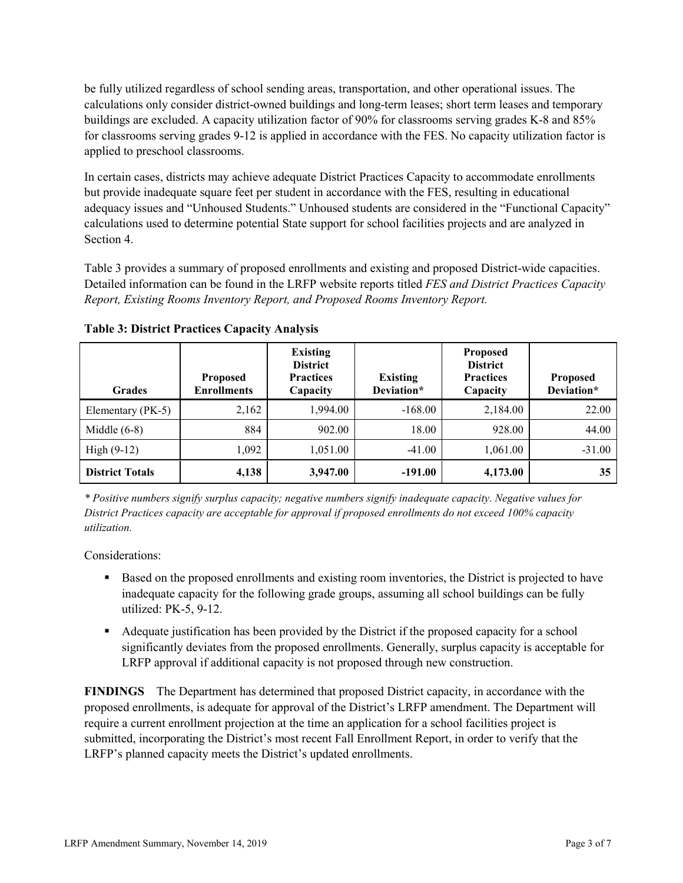be fully utilized regardless of school sending areas, transportation, and other operational issues. The calculations only consider district-owned buildings and long-term leases; short term leases and temporary buildings are excluded. A capacity utilization factor of 90% for classrooms serving grades K-8 and 85% for classrooms serving grades 9-12 is applied in accordance with the FES. No capacity utilization factor is applied to preschool classrooms.

In certain cases, districts may achieve adequate District Practices Capacity to accommodate enrollments but provide inadequate square feet per student in accordance with the FES, resulting in educational adequacy issues and "Unhoused Students." Unhoused students are considered in the "Functional Capacity" calculations used to determine potential State support for school facilities projects and are analyzed in Section 4.

Table 3 provides a summary of proposed enrollments and existing and proposed District-wide capacities. Detailed information can be found in the LRFP website reports titled *FES and District Practices Capacity Report, Existing Rooms Inventory Report, and Proposed Rooms Inventory Report.*

| <b>Grades</b>          | <b>Proposed</b><br><b>Enrollments</b> | <b>Existing</b><br><b>District</b><br><b>Practices</b><br>Capacity | <b>Existing</b><br>Deviation* | <b>Proposed</b><br><b>District</b><br><b>Practices</b><br>Capacity | Proposed<br>Deviation* |
|------------------------|---------------------------------------|--------------------------------------------------------------------|-------------------------------|--------------------------------------------------------------------|------------------------|
| Elementary (PK-5)      | 2,162                                 | 1,994.00                                                           | $-168.00$                     | 2,184.00                                                           | 22.00                  |
| Middle $(6-8)$         | 884                                   | 902.00                                                             | 18.00                         | 928.00                                                             | 44.00                  |
| High $(9-12)$          | 1,092                                 | 1,051.00                                                           | $-41.00$                      | 1,061.00                                                           | $-31.00$               |
| <b>District Totals</b> | 4,138                                 | 3,947.00                                                           | $-191.00$                     | 4,173.00                                                           | 35                     |

**Table 3: District Practices Capacity Analysis**

*\* Positive numbers signify surplus capacity; negative numbers signify inadequate capacity. Negative values for District Practices capacity are acceptable for approval if proposed enrollments do not exceed 100% capacity utilization.*

Considerations:

- **Based on the proposed enrollments and existing room inventories, the District is projected to have** inadequate capacity for the following grade groups, assuming all school buildings can be fully utilized: PK-5, 9-12.
- Adequate justification has been provided by the District if the proposed capacity for a school significantly deviates from the proposed enrollments. Generally, surplus capacity is acceptable for LRFP approval if additional capacity is not proposed through new construction.

**FINDINGS**The Department has determined that proposed District capacity, in accordance with the proposed enrollments, is adequate for approval of the District's LRFP amendment. The Department will require a current enrollment projection at the time an application for a school facilities project is submitted, incorporating the District's most recent Fall Enrollment Report, in order to verify that the LRFP's planned capacity meets the District's updated enrollments.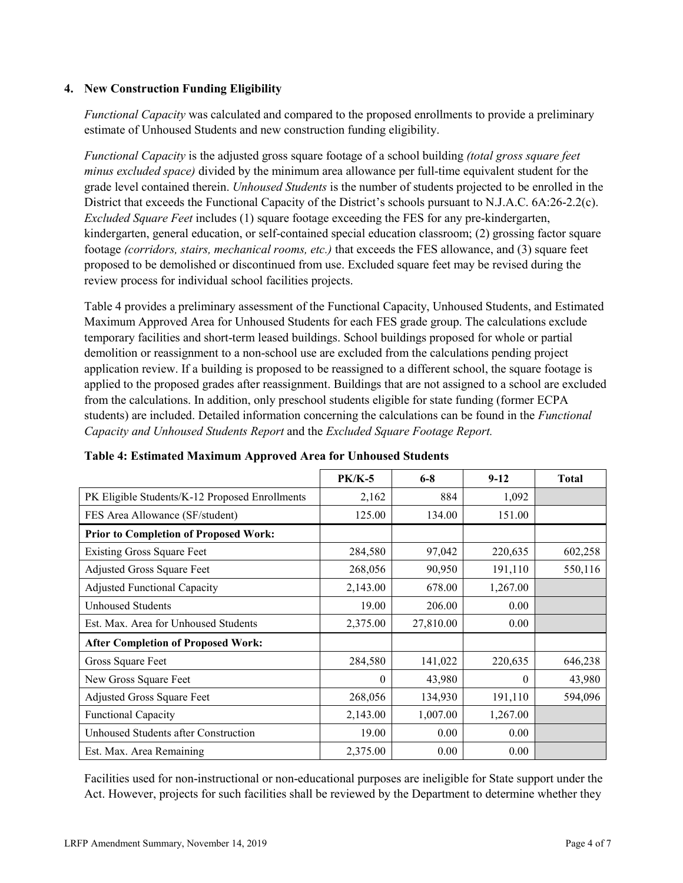#### **4. New Construction Funding Eligibility**

*Functional Capacity* was calculated and compared to the proposed enrollments to provide a preliminary estimate of Unhoused Students and new construction funding eligibility.

*Functional Capacity* is the adjusted gross square footage of a school building *(total gross square feet minus excluded space)* divided by the minimum area allowance per full-time equivalent student for the grade level contained therein. *Unhoused Students* is the number of students projected to be enrolled in the District that exceeds the Functional Capacity of the District's schools pursuant to N.J.A.C. 6A:26-2.2(c). *Excluded Square Feet* includes (1) square footage exceeding the FES for any pre-kindergarten, kindergarten, general education, or self-contained special education classroom; (2) grossing factor square footage *(corridors, stairs, mechanical rooms, etc.)* that exceeds the FES allowance, and (3) square feet proposed to be demolished or discontinued from use. Excluded square feet may be revised during the review process for individual school facilities projects.

Table 4 provides a preliminary assessment of the Functional Capacity, Unhoused Students, and Estimated Maximum Approved Area for Unhoused Students for each FES grade group. The calculations exclude temporary facilities and short-term leased buildings. School buildings proposed for whole or partial demolition or reassignment to a non-school use are excluded from the calculations pending project application review. If a building is proposed to be reassigned to a different school, the square footage is applied to the proposed grades after reassignment. Buildings that are not assigned to a school are excluded from the calculations. In addition, only preschool students eligible for state funding (former ECPA students) are included. Detailed information concerning the calculations can be found in the *Functional Capacity and Unhoused Students Report* and the *Excluded Square Footage Report.*

|                                                | $PK/K-5$ | $6 - 8$   | $9 - 12$ | <b>Total</b> |
|------------------------------------------------|----------|-----------|----------|--------------|
| PK Eligible Students/K-12 Proposed Enrollments | 2,162    | 884       | 1,092    |              |
| FES Area Allowance (SF/student)                | 125.00   | 134.00    | 151.00   |              |
| <b>Prior to Completion of Proposed Work:</b>   |          |           |          |              |
| <b>Existing Gross Square Feet</b>              | 284,580  | 97,042    | 220,635  | 602,258      |
| Adjusted Gross Square Feet                     | 268,056  | 90,950    | 191,110  | 550,116      |
| <b>Adjusted Functional Capacity</b>            | 2,143.00 | 678.00    | 1,267.00 |              |
| <b>Unhoused Students</b>                       | 19.00    | 206.00    | 0.00     |              |
| Est. Max. Area for Unhoused Students           | 2,375.00 | 27,810.00 | 0.00     |              |
| <b>After Completion of Proposed Work:</b>      |          |           |          |              |
| Gross Square Feet                              | 284,580  | 141,022   | 220,635  | 646,238      |
| New Gross Square Feet                          | $\theta$ | 43,980    | $\theta$ | 43,980       |
| Adjusted Gross Square Feet                     | 268,056  | 134,930   | 191,110  | 594,096      |
| Functional Capacity                            | 2,143.00 | 1,007.00  | 1,267.00 |              |
| Unhoused Students after Construction           | 19.00    | 0.00      | 0.00     |              |
| Est. Max. Area Remaining                       | 2,375.00 | 0.00      | 0.00     |              |

**Table 4: Estimated Maximum Approved Area for Unhoused Students**

Facilities used for non-instructional or non-educational purposes are ineligible for State support under the Act. However, projects for such facilities shall be reviewed by the Department to determine whether they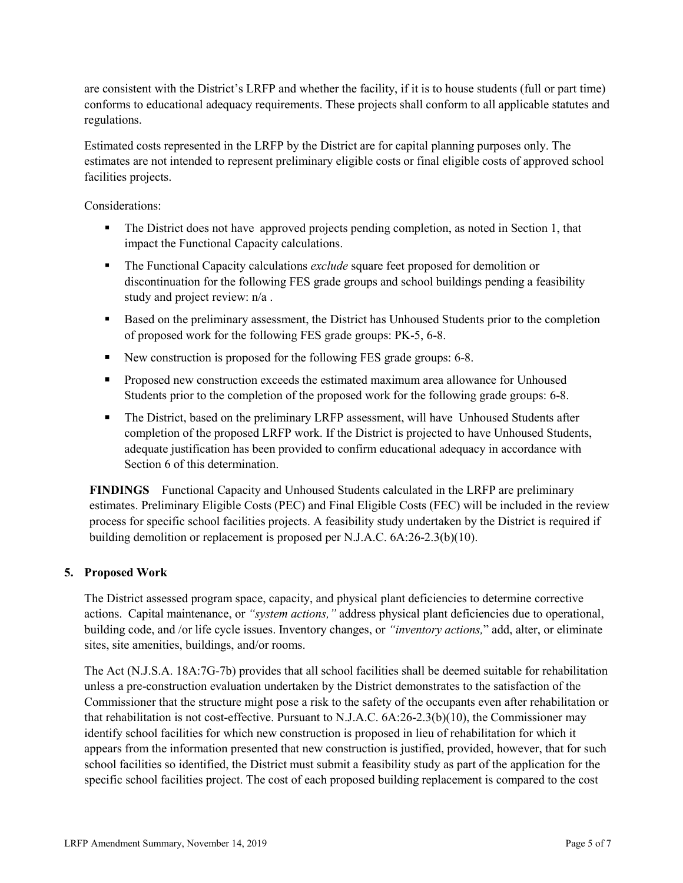are consistent with the District's LRFP and whether the facility, if it is to house students (full or part time) conforms to educational adequacy requirements. These projects shall conform to all applicable statutes and regulations.

Estimated costs represented in the LRFP by the District are for capital planning purposes only. The estimates are not intended to represent preliminary eligible costs or final eligible costs of approved school facilities projects.

Considerations:

- The District does not have approved projects pending completion, as noted in Section 1, that impact the Functional Capacity calculations.
- The Functional Capacity calculations *exclude* square feet proposed for demolition or discontinuation for the following FES grade groups and school buildings pending a feasibility study and project review: n/a .
- Based on the preliminary assessment, the District has Unhoused Students prior to the completion of proposed work for the following FES grade groups: PK-5, 6-8.
- New construction is proposed for the following FES grade groups: 6-8.
- **Proposed new construction exceeds the estimated maximum area allowance for Unhoused** Students prior to the completion of the proposed work for the following grade groups: 6-8.
- The District, based on the preliminary LRFP assessment, will have Unhoused Students after completion of the proposed LRFP work. If the District is projected to have Unhoused Students, adequate justification has been provided to confirm educational adequacy in accordance with Section 6 of this determination.

**FINDINGS** Functional Capacity and Unhoused Students calculated in the LRFP are preliminary estimates. Preliminary Eligible Costs (PEC) and Final Eligible Costs (FEC) will be included in the review process for specific school facilities projects. A feasibility study undertaken by the District is required if building demolition or replacement is proposed per N.J.A.C. 6A:26-2.3(b)(10).

## **5. Proposed Work**

The District assessed program space, capacity, and physical plant deficiencies to determine corrective actions. Capital maintenance, or *"system actions,"* address physical plant deficiencies due to operational, building code, and /or life cycle issues. Inventory changes, or *"inventory actions,*" add, alter, or eliminate sites, site amenities, buildings, and/or rooms.

The Act (N.J.S.A. 18A:7G-7b) provides that all school facilities shall be deemed suitable for rehabilitation unless a pre-construction evaluation undertaken by the District demonstrates to the satisfaction of the Commissioner that the structure might pose a risk to the safety of the occupants even after rehabilitation or that rehabilitation is not cost-effective. Pursuant to N.J.A.C. 6A:26-2.3(b)(10), the Commissioner may identify school facilities for which new construction is proposed in lieu of rehabilitation for which it appears from the information presented that new construction is justified, provided, however, that for such school facilities so identified, the District must submit a feasibility study as part of the application for the specific school facilities project. The cost of each proposed building replacement is compared to the cost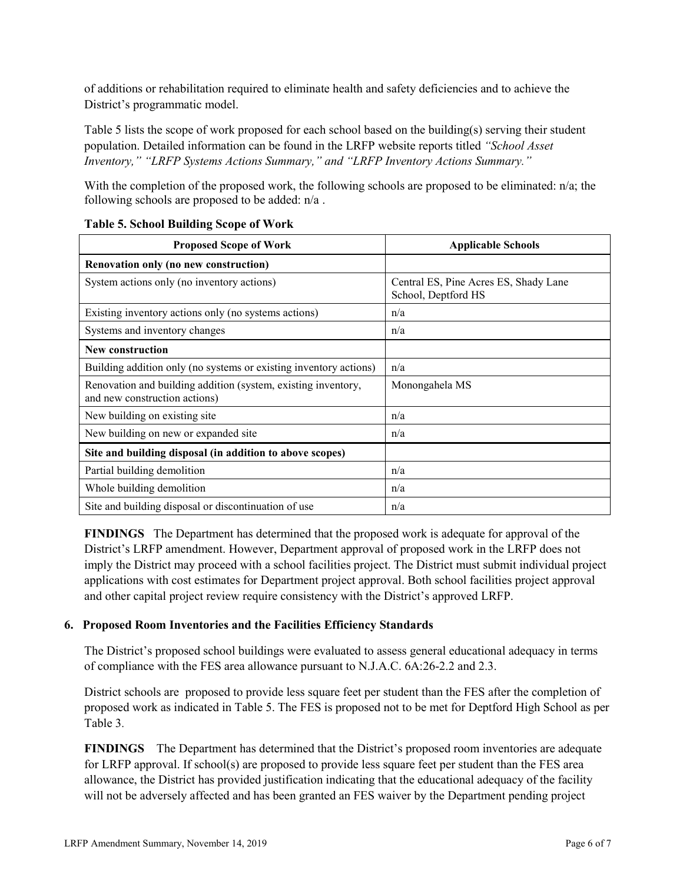of additions or rehabilitation required to eliminate health and safety deficiencies and to achieve the District's programmatic model.

Table 5 lists the scope of work proposed for each school based on the building(s) serving their student population. Detailed information can be found in the LRFP website reports titled *"School Asset Inventory," "LRFP Systems Actions Summary," and "LRFP Inventory Actions Summary."* 

With the completion of the proposed work, the following schools are proposed to be eliminated: n/a; the following schools are proposed to be added: n/a .

| <b>Proposed Scope of Work</b>                                                                  | <b>Applicable Schools</b>                                    |  |  |
|------------------------------------------------------------------------------------------------|--------------------------------------------------------------|--|--|
| Renovation only (no new construction)                                                          |                                                              |  |  |
| System actions only (no inventory actions)                                                     | Central ES, Pine Acres ES, Shady Lane<br>School, Deptford HS |  |  |
| Existing inventory actions only (no systems actions)                                           | n/a                                                          |  |  |
| Systems and inventory changes                                                                  | n/a                                                          |  |  |
| <b>New construction</b>                                                                        |                                                              |  |  |
| Building addition only (no systems or existing inventory actions)                              | n/a                                                          |  |  |
| Renovation and building addition (system, existing inventory,<br>and new construction actions) | Monongahela MS                                               |  |  |
| New building on existing site.                                                                 | n/a                                                          |  |  |
| New building on new or expanded site                                                           | n/a                                                          |  |  |
| Site and building disposal (in addition to above scopes)                                       |                                                              |  |  |
| Partial building demolition                                                                    | n/a                                                          |  |  |
| Whole building demolition                                                                      | n/a                                                          |  |  |
| Site and building disposal or discontinuation of use                                           | n/a                                                          |  |  |

#### **Table 5. School Building Scope of Work**

**FINDINGS** The Department has determined that the proposed work is adequate for approval of the District's LRFP amendment. However, Department approval of proposed work in the LRFP does not imply the District may proceed with a school facilities project. The District must submit individual project applications with cost estimates for Department project approval. Both school facilities project approval and other capital project review require consistency with the District's approved LRFP.

## **6. Proposed Room Inventories and the Facilities Efficiency Standards**

The District's proposed school buildings were evaluated to assess general educational adequacy in terms of compliance with the FES area allowance pursuant to N.J.A.C. 6A:26-2.2 and 2.3.

District schools are proposed to provide less square feet per student than the FES after the completion of proposed work as indicated in Table 5. The FES is proposed not to be met for Deptford High School as per Table 3.

**FINDINGS** The Department has determined that the District's proposed room inventories are adequate for LRFP approval. If school(s) are proposed to provide less square feet per student than the FES area allowance, the District has provided justification indicating that the educational adequacy of the facility will not be adversely affected and has been granted an FES waiver by the Department pending project